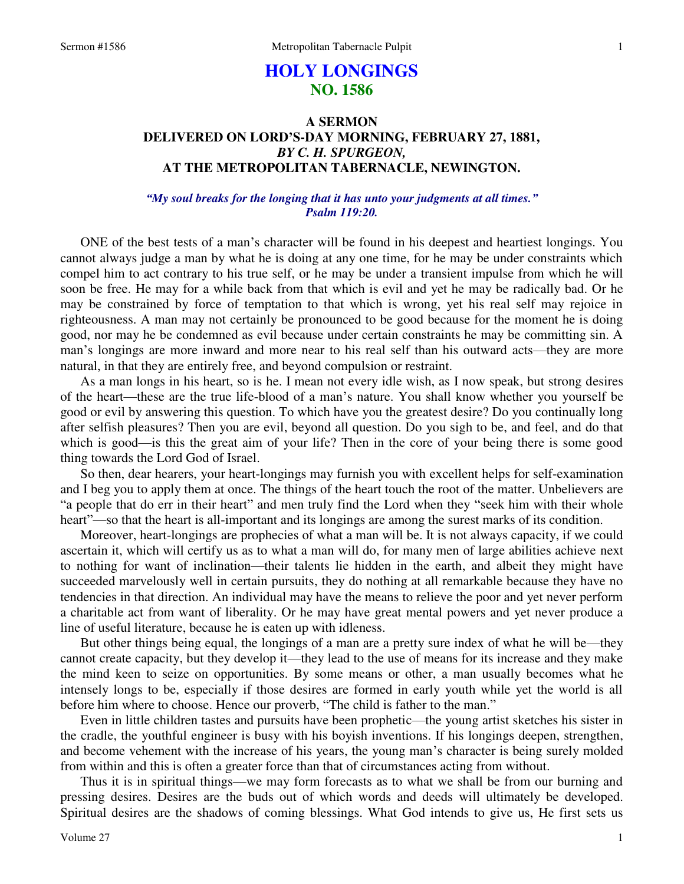# **HOLY LONGINGS NO. 1586**

## **A SERMON DELIVERED ON LORD'S-DAY MORNING, FEBRUARY 27, 1881,**  *BY C. H. SPURGEON,*  **AT THE METROPOLITAN TABERNACLE, NEWINGTON.**

### *"My soul breaks for the longing that it has unto your judgments at all times." Psalm 119:20.*

ONE of the best tests of a man's character will be found in his deepest and heartiest longings. You cannot always judge a man by what he is doing at any one time, for he may be under constraints which compel him to act contrary to his true self, or he may be under a transient impulse from which he will soon be free. He may for a while back from that which is evil and yet he may be radically bad. Or he may be constrained by force of temptation to that which is wrong, yet his real self may rejoice in righteousness. A man may not certainly be pronounced to be good because for the moment he is doing good, nor may he be condemned as evil because under certain constraints he may be committing sin. A man's longings are more inward and more near to his real self than his outward acts—they are more natural, in that they are entirely free, and beyond compulsion or restraint.

 As a man longs in his heart, so is he. I mean not every idle wish, as I now speak, but strong desires of the heart—these are the true life-blood of a man's nature. You shall know whether you yourself be good or evil by answering this question. To which have you the greatest desire? Do you continually long after selfish pleasures? Then you are evil, beyond all question. Do you sigh to be, and feel, and do that which is good—is this the great aim of your life? Then in the core of your being there is some good thing towards the Lord God of Israel.

 So then, dear hearers, your heart-longings may furnish you with excellent helps for self-examination and I beg you to apply them at once. The things of the heart touch the root of the matter. Unbelievers are "a people that do err in their heart" and men truly find the Lord when they "seek him with their whole heart"—so that the heart is all-important and its longings are among the surest marks of its condition.

 Moreover, heart-longings are prophecies of what a man will be. It is not always capacity, if we could ascertain it, which will certify us as to what a man will do, for many men of large abilities achieve next to nothing for want of inclination—their talents lie hidden in the earth, and albeit they might have succeeded marvelously well in certain pursuits, they do nothing at all remarkable because they have no tendencies in that direction. An individual may have the means to relieve the poor and yet never perform a charitable act from want of liberality. Or he may have great mental powers and yet never produce a line of useful literature, because he is eaten up with idleness.

 But other things being equal, the longings of a man are a pretty sure index of what he will be—they cannot create capacity, but they develop it—they lead to the use of means for its increase and they make the mind keen to seize on opportunities. By some means or other, a man usually becomes what he intensely longs to be, especially if those desires are formed in early youth while yet the world is all before him where to choose. Hence our proverb, "The child is father to the man."

 Even in little children tastes and pursuits have been prophetic—the young artist sketches his sister in the cradle, the youthful engineer is busy with his boyish inventions. If his longings deepen, strengthen, and become vehement with the increase of his years, the young man's character is being surely molded from within and this is often a greater force than that of circumstances acting from without.

 Thus it is in spiritual things—we may form forecasts as to what we shall be from our burning and pressing desires. Desires are the buds out of which words and deeds will ultimately be developed. Spiritual desires are the shadows of coming blessings. What God intends to give us, He first sets us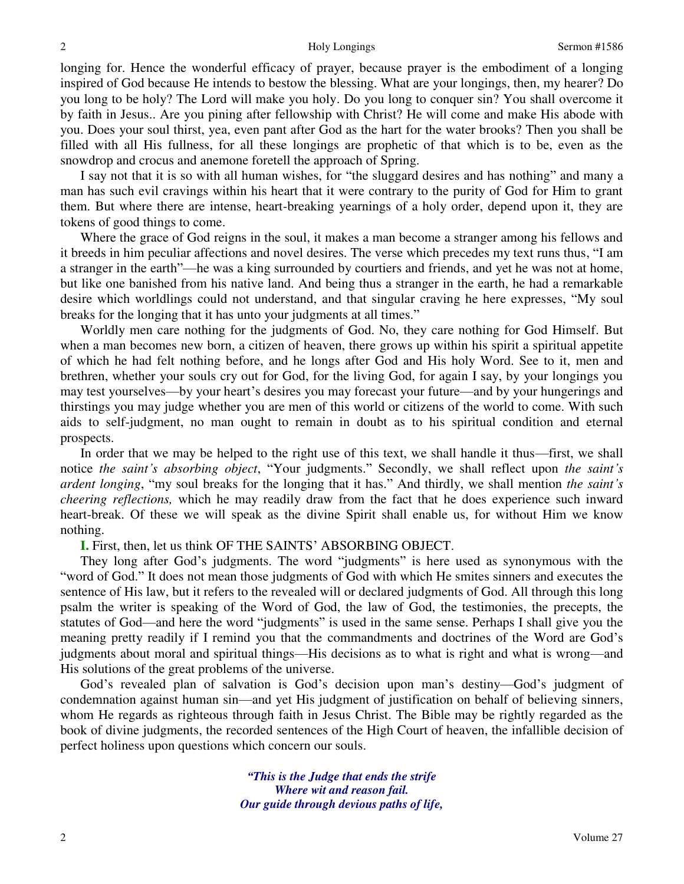longing for. Hence the wonderful efficacy of prayer, because prayer is the embodiment of a longing inspired of God because He intends to bestow the blessing. What are your longings, then, my hearer? Do you long to be holy? The Lord will make you holy. Do you long to conquer sin? You shall overcome it by faith in Jesus.. Are you pining after fellowship with Christ? He will come and make His abode with you. Does your soul thirst, yea, even pant after God as the hart for the water brooks? Then you shall be filled with all His fullness, for all these longings are prophetic of that which is to be, even as the snowdrop and crocus and anemone foretell the approach of Spring.

 I say not that it is so with all human wishes, for "the sluggard desires and has nothing" and many a man has such evil cravings within his heart that it were contrary to the purity of God for Him to grant them. But where there are intense, heart-breaking yearnings of a holy order, depend upon it, they are tokens of good things to come.

 Where the grace of God reigns in the soul, it makes a man become a stranger among his fellows and it breeds in him peculiar affections and novel desires. The verse which precedes my text runs thus, "I am a stranger in the earth"—he was a king surrounded by courtiers and friends, and yet he was not at home, but like one banished from his native land. And being thus a stranger in the earth, he had a remarkable desire which worldlings could not understand, and that singular craving he here expresses, "My soul breaks for the longing that it has unto your judgments at all times."

 Worldly men care nothing for the judgments of God. No, they care nothing for God Himself. But when a man becomes new born, a citizen of heaven, there grows up within his spirit a spiritual appetite of which he had felt nothing before, and he longs after God and His holy Word. See to it, men and brethren, whether your souls cry out for God, for the living God, for again I say, by your longings you may test yourselves—by your heart's desires you may forecast your future—and by your hungerings and thirstings you may judge whether you are men of this world or citizens of the world to come. With such aids to self-judgment, no man ought to remain in doubt as to his spiritual condition and eternal prospects.

 In order that we may be helped to the right use of this text, we shall handle it thus—first, we shall notice *the saint's absorbing object*, "Your judgments." Secondly, we shall reflect upon *the saint's ardent longing*, "my soul breaks for the longing that it has." And thirdly, we shall mention *the saint's cheering reflections,* which he may readily draw from the fact that he does experience such inward heart-break. Of these we will speak as the divine Spirit shall enable us, for without Him we know nothing.

**I.** First, then, let us think OF THE SAINTS' ABSORBING OBJECT.

 They long after God's judgments. The word "judgments" is here used as synonymous with the "word of God." It does not mean those judgments of God with which He smites sinners and executes the sentence of His law, but it refers to the revealed will or declared judgments of God. All through this long psalm the writer is speaking of the Word of God, the law of God, the testimonies, the precepts, the statutes of God—and here the word "judgments" is used in the same sense. Perhaps I shall give you the meaning pretty readily if I remind you that the commandments and doctrines of the Word are God's judgments about moral and spiritual things—His decisions as to what is right and what is wrong—and His solutions of the great problems of the universe.

 God's revealed plan of salvation is God's decision upon man's destiny—God's judgment of condemnation against human sin—and yet His judgment of justification on behalf of believing sinners, whom He regards as righteous through faith in Jesus Christ. The Bible may be rightly regarded as the book of divine judgments, the recorded sentences of the High Court of heaven, the infallible decision of perfect holiness upon questions which concern our souls.

> *"This is the Judge that ends the strife Where wit and reason fail. Our guide through devious paths of life,*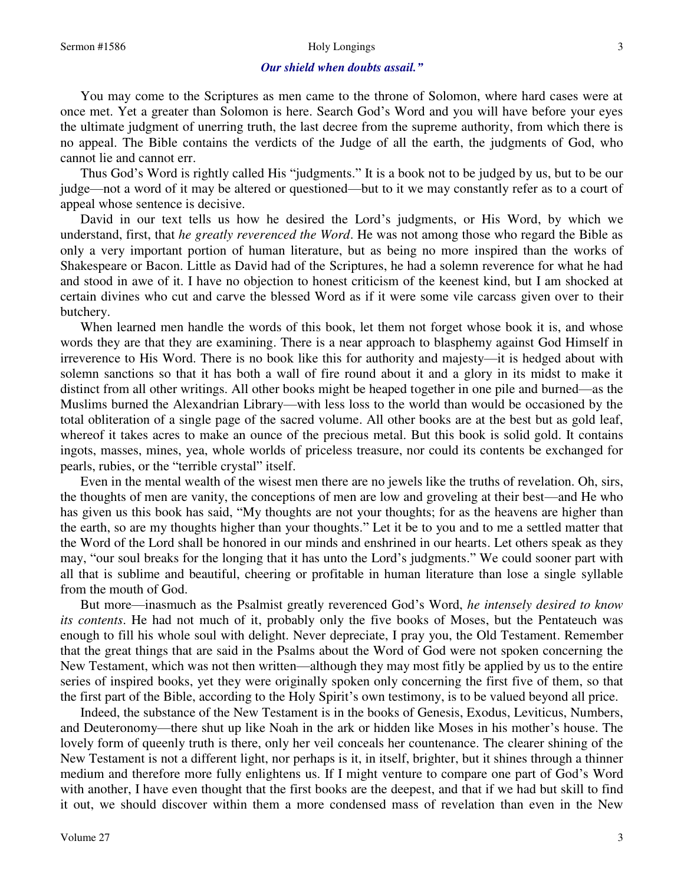### *Our shield when doubts assail."*

 You may come to the Scriptures as men came to the throne of Solomon, where hard cases were at once met. Yet a greater than Solomon is here. Search God's Word and you will have before your eyes the ultimate judgment of unerring truth, the last decree from the supreme authority, from which there is no appeal. The Bible contains the verdicts of the Judge of all the earth, the judgments of God, who cannot lie and cannot err.

 Thus God's Word is rightly called His "judgments." It is a book not to be judged by us, but to be our judge—not a word of it may be altered or questioned—but to it we may constantly refer as to a court of appeal whose sentence is decisive.

 David in our text tells us how he desired the Lord's judgments, or His Word, by which we understand, first, that *he greatly reverenced the Word*. He was not among those who regard the Bible as only a very important portion of human literature, but as being no more inspired than the works of Shakespeare or Bacon. Little as David had of the Scriptures, he had a solemn reverence for what he had and stood in awe of it. I have no objection to honest criticism of the keenest kind, but I am shocked at certain divines who cut and carve the blessed Word as if it were some vile carcass given over to their butchery.

When learned men handle the words of this book, let them not forget whose book it is, and whose words they are that they are examining. There is a near approach to blasphemy against God Himself in irreverence to His Word. There is no book like this for authority and majesty—it is hedged about with solemn sanctions so that it has both a wall of fire round about it and a glory in its midst to make it distinct from all other writings. All other books might be heaped together in one pile and burned—as the Muslims burned the Alexandrian Library—with less loss to the world than would be occasioned by the total obliteration of a single page of the sacred volume. All other books are at the best but as gold leaf, whereof it takes acres to make an ounce of the precious metal. But this book is solid gold. It contains ingots, masses, mines, yea, whole worlds of priceless treasure, nor could its contents be exchanged for pearls, rubies, or the "terrible crystal" itself.

 Even in the mental wealth of the wisest men there are no jewels like the truths of revelation. Oh, sirs, the thoughts of men are vanity, the conceptions of men are low and groveling at their best—and He who has given us this book has said, "My thoughts are not your thoughts; for as the heavens are higher than the earth, so are my thoughts higher than your thoughts." Let it be to you and to me a settled matter that the Word of the Lord shall be honored in our minds and enshrined in our hearts. Let others speak as they may, "our soul breaks for the longing that it has unto the Lord's judgments." We could sooner part with all that is sublime and beautiful, cheering or profitable in human literature than lose a single syllable from the mouth of God.

 But more—inasmuch as the Psalmist greatly reverenced God's Word, *he intensely desired to know its contents*. He had not much of it, probably only the five books of Moses, but the Pentateuch was enough to fill his whole soul with delight. Never depreciate, I pray you, the Old Testament. Remember that the great things that are said in the Psalms about the Word of God were not spoken concerning the New Testament, which was not then written—although they may most fitly be applied by us to the entire series of inspired books, yet they were originally spoken only concerning the first five of them, so that the first part of the Bible, according to the Holy Spirit's own testimony, is to be valued beyond all price.

 Indeed, the substance of the New Testament is in the books of Genesis, Exodus, Leviticus, Numbers, and Deuteronomy—there shut up like Noah in the ark or hidden like Moses in his mother's house. The lovely form of queenly truth is there, only her veil conceals her countenance. The clearer shining of the New Testament is not a different light, nor perhaps is it, in itself, brighter, but it shines through a thinner medium and therefore more fully enlightens us. If I might venture to compare one part of God's Word with another, I have even thought that the first books are the deepest, and that if we had but skill to find it out, we should discover within them a more condensed mass of revelation than even in the New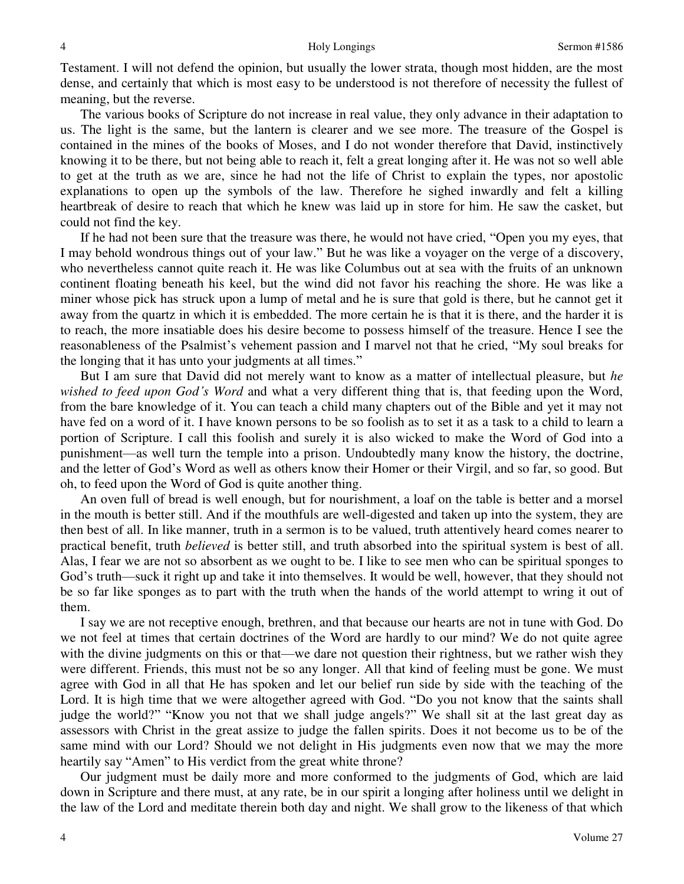Testament. I will not defend the opinion, but usually the lower strata, though most hidden, are the most dense, and certainly that which is most easy to be understood is not therefore of necessity the fullest of meaning, but the reverse.

 The various books of Scripture do not increase in real value, they only advance in their adaptation to us. The light is the same, but the lantern is clearer and we see more. The treasure of the Gospel is contained in the mines of the books of Moses, and I do not wonder therefore that David, instinctively knowing it to be there, but not being able to reach it, felt a great longing after it. He was not so well able to get at the truth as we are, since he had not the life of Christ to explain the types, nor apostolic explanations to open up the symbols of the law. Therefore he sighed inwardly and felt a killing heartbreak of desire to reach that which he knew was laid up in store for him. He saw the casket, but could not find the key.

 If he had not been sure that the treasure was there, he would not have cried, "Open you my eyes, that I may behold wondrous things out of your law." But he was like a voyager on the verge of a discovery, who nevertheless cannot quite reach it. He was like Columbus out at sea with the fruits of an unknown continent floating beneath his keel, but the wind did not favor his reaching the shore. He was like a miner whose pick has struck upon a lump of metal and he is sure that gold is there, but he cannot get it away from the quartz in which it is embedded. The more certain he is that it is there, and the harder it is to reach, the more insatiable does his desire become to possess himself of the treasure. Hence I see the reasonableness of the Psalmist's vehement passion and I marvel not that he cried, "My soul breaks for the longing that it has unto your judgments at all times."

 But I am sure that David did not merely want to know as a matter of intellectual pleasure, but *he wished to feed upon God's Word* and what a very different thing that is, that feeding upon the Word, from the bare knowledge of it. You can teach a child many chapters out of the Bible and yet it may not have fed on a word of it. I have known persons to be so foolish as to set it as a task to a child to learn a portion of Scripture. I call this foolish and surely it is also wicked to make the Word of God into a punishment—as well turn the temple into a prison. Undoubtedly many know the history, the doctrine, and the letter of God's Word as well as others know their Homer or their Virgil, and so far, so good. But oh, to feed upon the Word of God is quite another thing.

 An oven full of bread is well enough, but for nourishment, a loaf on the table is better and a morsel in the mouth is better still. And if the mouthfuls are well-digested and taken up into the system, they are then best of all. In like manner, truth in a sermon is to be valued, truth attentively heard comes nearer to practical benefit, truth *believed* is better still, and truth absorbed into the spiritual system is best of all. Alas, I fear we are not so absorbent as we ought to be. I like to see men who can be spiritual sponges to God's truth—suck it right up and take it into themselves. It would be well, however, that they should not be so far like sponges as to part with the truth when the hands of the world attempt to wring it out of them.

 I say we are not receptive enough, brethren, and that because our hearts are not in tune with God. Do we not feel at times that certain doctrines of the Word are hardly to our mind? We do not quite agree with the divine judgments on this or that—we dare not question their rightness, but we rather wish they were different. Friends, this must not be so any longer. All that kind of feeling must be gone. We must agree with God in all that He has spoken and let our belief run side by side with the teaching of the Lord. It is high time that we were altogether agreed with God. "Do you not know that the saints shall judge the world?" "Know you not that we shall judge angels?" We shall sit at the last great day as assessors with Christ in the great assize to judge the fallen spirits. Does it not become us to be of the same mind with our Lord? Should we not delight in His judgments even now that we may the more heartily say "Amen" to His verdict from the great white throne?

 Our judgment must be daily more and more conformed to the judgments of God, which are laid down in Scripture and there must, at any rate, be in our spirit a longing after holiness until we delight in the law of the Lord and meditate therein both day and night. We shall grow to the likeness of that which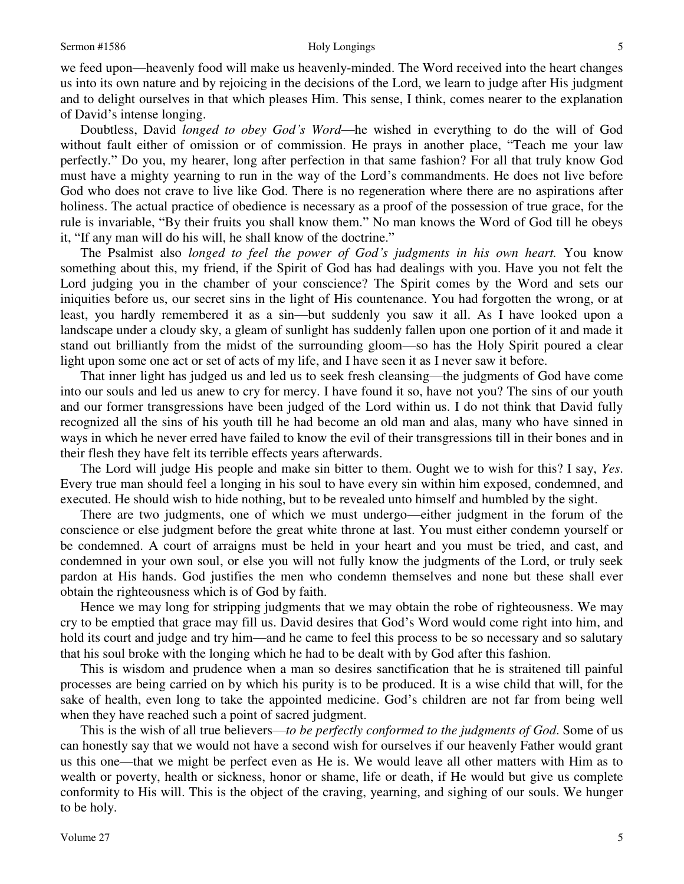we feed upon—heavenly food will make us heavenly-minded. The Word received into the heart changes us into its own nature and by rejoicing in the decisions of the Lord, we learn to judge after His judgment and to delight ourselves in that which pleases Him. This sense, I think, comes nearer to the explanation of David's intense longing.

 Doubtless, David *longed to obey God's Word*—he wished in everything to do the will of God without fault either of omission or of commission. He prays in another place, "Teach me your law perfectly." Do you, my hearer, long after perfection in that same fashion? For all that truly know God must have a mighty yearning to run in the way of the Lord's commandments. He does not live before God who does not crave to live like God. There is no regeneration where there are no aspirations after holiness. The actual practice of obedience is necessary as a proof of the possession of true grace, for the rule is invariable, "By their fruits you shall know them." No man knows the Word of God till he obeys it, "If any man will do his will, he shall know of the doctrine."

 The Psalmist also *longed to feel the power of God's judgments in his own heart.* You know something about this, my friend, if the Spirit of God has had dealings with you. Have you not felt the Lord judging you in the chamber of your conscience? The Spirit comes by the Word and sets our iniquities before us, our secret sins in the light of His countenance. You had forgotten the wrong, or at least, you hardly remembered it as a sin—but suddenly you saw it all. As I have looked upon a landscape under a cloudy sky, a gleam of sunlight has suddenly fallen upon one portion of it and made it stand out brilliantly from the midst of the surrounding gloom—so has the Holy Spirit poured a clear light upon some one act or set of acts of my life, and I have seen it as I never saw it before.

 That inner light has judged us and led us to seek fresh cleansing—the judgments of God have come into our souls and led us anew to cry for mercy. I have found it so, have not you? The sins of our youth and our former transgressions have been judged of the Lord within us. I do not think that David fully recognized all the sins of his youth till he had become an old man and alas, many who have sinned in ways in which he never erred have failed to know the evil of their transgressions till in their bones and in their flesh they have felt its terrible effects years afterwards.

 The Lord will judge His people and make sin bitter to them. Ought we to wish for this? I say, *Yes*. Every true man should feel a longing in his soul to have every sin within him exposed, condemned, and executed. He should wish to hide nothing, but to be revealed unto himself and humbled by the sight.

 There are two judgments, one of which we must undergo—either judgment in the forum of the conscience or else judgment before the great white throne at last. You must either condemn yourself or be condemned. A court of arraigns must be held in your heart and you must be tried, and cast, and condemned in your own soul, or else you will not fully know the judgments of the Lord, or truly seek pardon at His hands. God justifies the men who condemn themselves and none but these shall ever obtain the righteousness which is of God by faith.

 Hence we may long for stripping judgments that we may obtain the robe of righteousness. We may cry to be emptied that grace may fill us. David desires that God's Word would come right into him, and hold its court and judge and try him—and he came to feel this process to be so necessary and so salutary that his soul broke with the longing which he had to be dealt with by God after this fashion.

 This is wisdom and prudence when a man so desires sanctification that he is straitened till painful processes are being carried on by which his purity is to be produced. It is a wise child that will, for the sake of health, even long to take the appointed medicine. God's children are not far from being well when they have reached such a point of sacred judgment.

 This is the wish of all true believers—*to be perfectly conformed to the judgments of God*. Some of us can honestly say that we would not have a second wish for ourselves if our heavenly Father would grant us this one—that we might be perfect even as He is. We would leave all other matters with Him as to wealth or poverty, health or sickness, honor or shame, life or death, if He would but give us complete conformity to His will. This is the object of the craving, yearning, and sighing of our souls. We hunger to be holy.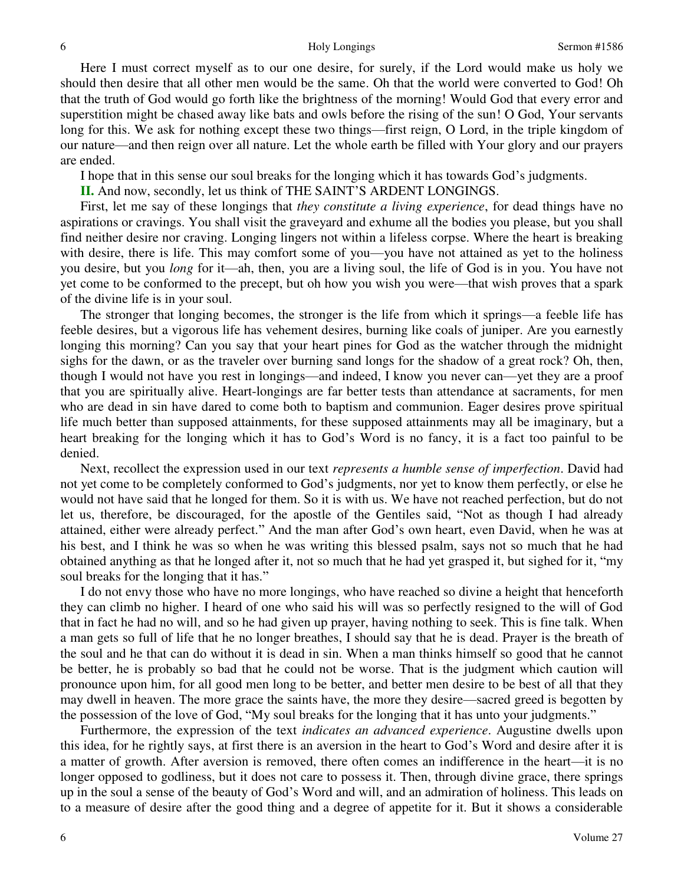Here I must correct myself as to our one desire, for surely, if the Lord would make us holy we should then desire that all other men would be the same. Oh that the world were converted to God! Oh that the truth of God would go forth like the brightness of the morning! Would God that every error and superstition might be chased away like bats and owls before the rising of the sun! O God, Your servants long for this. We ask for nothing except these two things—first reign, O Lord, in the triple kingdom of our nature—and then reign over all nature. Let the whole earth be filled with Your glory and our prayers are ended.

I hope that in this sense our soul breaks for the longing which it has towards God's judgments.

**II.** And now, secondly, let us think of THE SAINT'S ARDENT LONGINGS.

 First, let me say of these longings that *they constitute a living experience*, for dead things have no aspirations or cravings. You shall visit the graveyard and exhume all the bodies you please, but you shall find neither desire nor craving. Longing lingers not within a lifeless corpse. Where the heart is breaking with desire, there is life. This may comfort some of you—you have not attained as yet to the holiness you desire, but you *long* for it—ah, then, you are a living soul, the life of God is in you. You have not yet come to be conformed to the precept, but oh how you wish you were—that wish proves that a spark of the divine life is in your soul.

 The stronger that longing becomes, the stronger is the life from which it springs—a feeble life has feeble desires, but a vigorous life has vehement desires, burning like coals of juniper. Are you earnestly longing this morning? Can you say that your heart pines for God as the watcher through the midnight sighs for the dawn, or as the traveler over burning sand longs for the shadow of a great rock? Oh, then, though I would not have you rest in longings—and indeed, I know you never can—yet they are a proof that you are spiritually alive. Heart-longings are far better tests than attendance at sacraments, for men who are dead in sin have dared to come both to baptism and communion. Eager desires prove spiritual life much better than supposed attainments, for these supposed attainments may all be imaginary, but a heart breaking for the longing which it has to God's Word is no fancy, it is a fact too painful to be denied.

 Next, recollect the expression used in our text *represents a humble sense of imperfection*. David had not yet come to be completely conformed to God's judgments, nor yet to know them perfectly, or else he would not have said that he longed for them. So it is with us. We have not reached perfection, but do not let us, therefore, be discouraged, for the apostle of the Gentiles said, "Not as though I had already attained, either were already perfect." And the man after God's own heart, even David, when he was at his best, and I think he was so when he was writing this blessed psalm, says not so much that he had obtained anything as that he longed after it, not so much that he had yet grasped it, but sighed for it, "my soul breaks for the longing that it has."

 I do not envy those who have no more longings, who have reached so divine a height that henceforth they can climb no higher. I heard of one who said his will was so perfectly resigned to the will of God that in fact he had no will, and so he had given up prayer, having nothing to seek. This is fine talk. When a man gets so full of life that he no longer breathes, I should say that he is dead. Prayer is the breath of the soul and he that can do without it is dead in sin. When a man thinks himself so good that he cannot be better, he is probably so bad that he could not be worse. That is the judgment which caution will pronounce upon him, for all good men long to be better, and better men desire to be best of all that they may dwell in heaven. The more grace the saints have, the more they desire—sacred greed is begotten by the possession of the love of God, "My soul breaks for the longing that it has unto your judgments."

 Furthermore, the expression of the text *indicates an advanced experience*. Augustine dwells upon this idea, for he rightly says, at first there is an aversion in the heart to God's Word and desire after it is a matter of growth. After aversion is removed, there often comes an indifference in the heart—it is no longer opposed to godliness, but it does not care to possess it. Then, through divine grace, there springs up in the soul a sense of the beauty of God's Word and will, and an admiration of holiness. This leads on to a measure of desire after the good thing and a degree of appetite for it. But it shows a considerable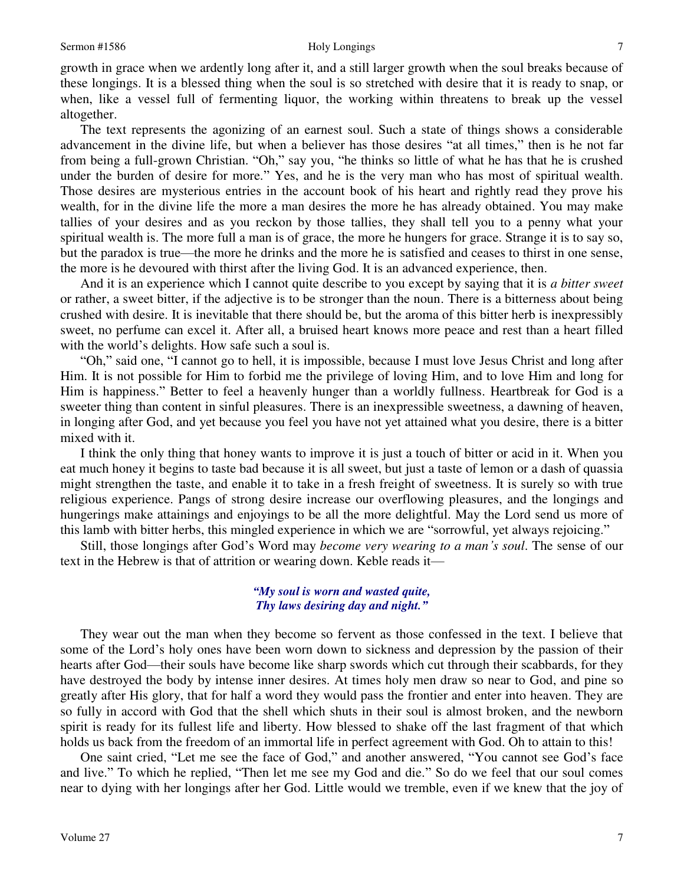growth in grace when we ardently long after it, and a still larger growth when the soul breaks because of these longings. It is a blessed thing when the soul is so stretched with desire that it is ready to snap, or when, like a vessel full of fermenting liquor, the working within threatens to break up the vessel altogether.

 The text represents the agonizing of an earnest soul. Such a state of things shows a considerable advancement in the divine life, but when a believer has those desires "at all times," then is he not far from being a full-grown Christian. "Oh," say you, "he thinks so little of what he has that he is crushed under the burden of desire for more." Yes, and he is the very man who has most of spiritual wealth. Those desires are mysterious entries in the account book of his heart and rightly read they prove his wealth, for in the divine life the more a man desires the more he has already obtained. You may make tallies of your desires and as you reckon by those tallies, they shall tell you to a penny what your spiritual wealth is. The more full a man is of grace, the more he hungers for grace. Strange it is to say so, but the paradox is true—the more he drinks and the more he is satisfied and ceases to thirst in one sense, the more is he devoured with thirst after the living God. It is an advanced experience, then.

 And it is an experience which I cannot quite describe to you except by saying that it is *a bitter sweet* or rather, a sweet bitter, if the adjective is to be stronger than the noun. There is a bitterness about being crushed with desire. It is inevitable that there should be, but the aroma of this bitter herb is inexpressibly sweet, no perfume can excel it. After all, a bruised heart knows more peace and rest than a heart filled with the world's delights. How safe such a soul is.

"Oh," said one, "I cannot go to hell, it is impossible, because I must love Jesus Christ and long after Him. It is not possible for Him to forbid me the privilege of loving Him, and to love Him and long for Him is happiness." Better to feel a heavenly hunger than a worldly fullness. Heartbreak for God is a sweeter thing than content in sinful pleasures. There is an inexpressible sweetness, a dawning of heaven, in longing after God, and yet because you feel you have not yet attained what you desire, there is a bitter mixed with it.

 I think the only thing that honey wants to improve it is just a touch of bitter or acid in it. When you eat much honey it begins to taste bad because it is all sweet, but just a taste of lemon or a dash of quassia might strengthen the taste, and enable it to take in a fresh freight of sweetness. It is surely so with true religious experience. Pangs of strong desire increase our overflowing pleasures, and the longings and hungerings make attainings and enjoyings to be all the more delightful. May the Lord send us more of this lamb with bitter herbs, this mingled experience in which we are "sorrowful, yet always rejoicing."

 Still, those longings after God's Word may *become very wearing to a man's soul*. The sense of our text in the Hebrew is that of attrition or wearing down. Keble reads it—

### *"My soul is worn and wasted quite, Thy laws desiring day and night."*

 They wear out the man when they become so fervent as those confessed in the text. I believe that some of the Lord's holy ones have been worn down to sickness and depression by the passion of their hearts after God—their souls have become like sharp swords which cut through their scabbards, for they have destroyed the body by intense inner desires. At times holy men draw so near to God, and pine so greatly after His glory, that for half a word they would pass the frontier and enter into heaven. They are so fully in accord with God that the shell which shuts in their soul is almost broken, and the newborn spirit is ready for its fullest life and liberty. How blessed to shake off the last fragment of that which holds us back from the freedom of an immortal life in perfect agreement with God. Oh to attain to this!

 One saint cried, "Let me see the face of God," and another answered, "You cannot see God's face and live." To which he replied, "Then let me see my God and die." So do we feel that our soul comes near to dying with her longings after her God. Little would we tremble, even if we knew that the joy of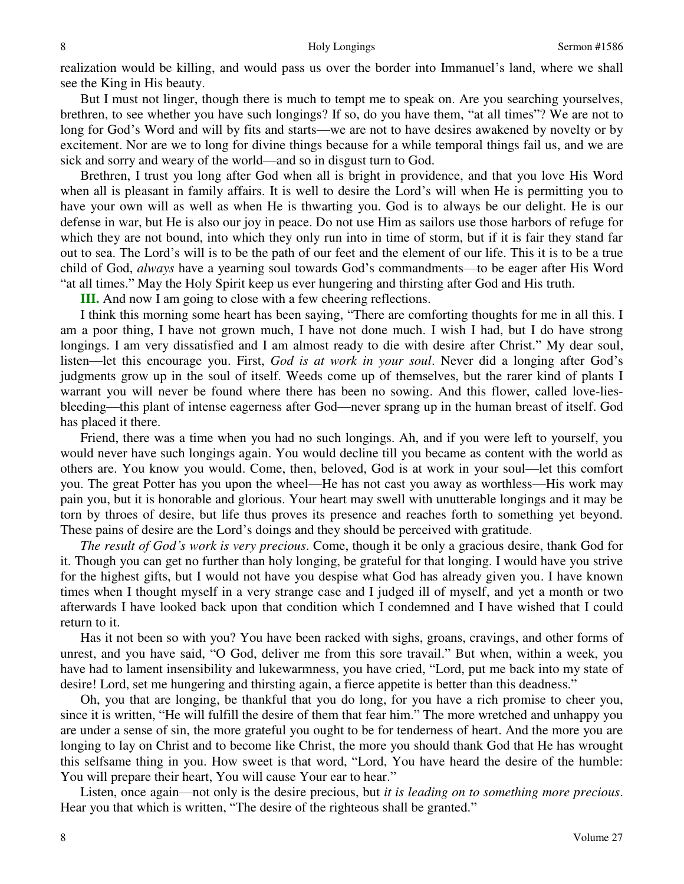realization would be killing, and would pass us over the border into Immanuel's land, where we shall see the King in His beauty.

 But I must not linger, though there is much to tempt me to speak on. Are you searching yourselves, brethren, to see whether you have such longings? If so, do you have them, "at all times"? We are not to long for God's Word and will by fits and starts—we are not to have desires awakened by novelty or by excitement. Nor are we to long for divine things because for a while temporal things fail us, and we are sick and sorry and weary of the world—and so in disgust turn to God.

 Brethren, I trust you long after God when all is bright in providence, and that you love His Word when all is pleasant in family affairs. It is well to desire the Lord's will when He is permitting you to have your own will as well as when He is thwarting you. God is to always be our delight. He is our defense in war, but He is also our joy in peace. Do not use Him as sailors use those harbors of refuge for which they are not bound, into which they only run into in time of storm, but if it is fair they stand far out to sea. The Lord's will is to be the path of our feet and the element of our life. This it is to be a true child of God, *always* have a yearning soul towards God's commandments—to be eager after His Word "at all times." May the Holy Spirit keep us ever hungering and thirsting after God and His truth.

**III.** And now I am going to close with a few cheering reflections.

 I think this morning some heart has been saying, "There are comforting thoughts for me in all this. I am a poor thing, I have not grown much, I have not done much. I wish I had, but I do have strong longings. I am very dissatisfied and I am almost ready to die with desire after Christ." My dear soul, listen—let this encourage you. First, *God is at work in your soul*. Never did a longing after God's judgments grow up in the soul of itself. Weeds come up of themselves, but the rarer kind of plants I warrant you will never be found where there has been no sowing. And this flower, called love-liesbleeding—this plant of intense eagerness after God—never sprang up in the human breast of itself. God has placed it there.

 Friend, there was a time when you had no such longings. Ah, and if you were left to yourself, you would never have such longings again. You would decline till you became as content with the world as others are. You know you would. Come, then, beloved, God is at work in your soul—let this comfort you. The great Potter has you upon the wheel—He has not cast you away as worthless—His work may pain you, but it is honorable and glorious. Your heart may swell with unutterable longings and it may be torn by throes of desire, but life thus proves its presence and reaches forth to something yet beyond. These pains of desire are the Lord's doings and they should be perceived with gratitude.

*The result of God's work is very precious*. Come, though it be only a gracious desire, thank God for it. Though you can get no further than holy longing, be grateful for that longing. I would have you strive for the highest gifts, but I would not have you despise what God has already given you. I have known times when I thought myself in a very strange case and I judged ill of myself, and yet a month or two afterwards I have looked back upon that condition which I condemned and I have wished that I could return to it.

 Has it not been so with you? You have been racked with sighs, groans, cravings, and other forms of unrest, and you have said, "O God, deliver me from this sore travail." But when, within a week, you have had to lament insensibility and lukewarmness, you have cried, "Lord, put me back into my state of desire! Lord, set me hungering and thirsting again, a fierce appetite is better than this deadness."

 Oh, you that are longing, be thankful that you do long, for you have a rich promise to cheer you, since it is written, "He will fulfill the desire of them that fear him." The more wretched and unhappy you are under a sense of sin, the more grateful you ought to be for tenderness of heart. And the more you are longing to lay on Christ and to become like Christ, the more you should thank God that He has wrought this selfsame thing in you. How sweet is that word, "Lord, You have heard the desire of the humble: You will prepare their heart, You will cause Your ear to hear."

 Listen, once again—not only is the desire precious, but *it is leading on to something more precious*. Hear you that which is written, "The desire of the righteous shall be granted."